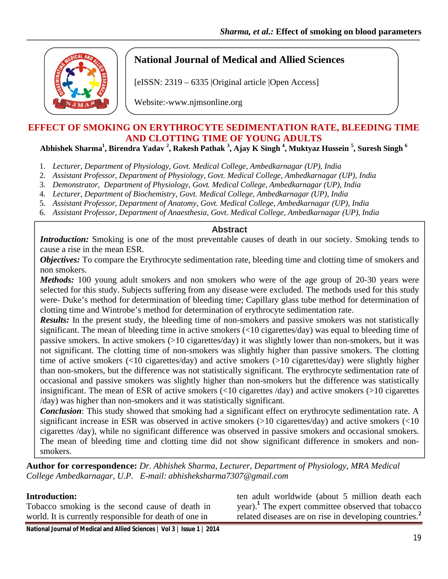

# **National Journal of Medical and Allied Sciences**

[eISSN: 2319 – 6335 |Original article |Open Access]

Website:-www.njmsonline.org

# **EFFECT OF SMOKING ON ERYTHROCYTE SEDIMENTATION RATE, BLEEDING TIME AND CLOTTING TIME OF YOUNG ADULTS**

**Abhishek Sharma1 , Birendra Yadav 2 , Rakesh Pathak <sup>3</sup> , Ajay K Singh <sup>4</sup> , Muktyaz Hussein <sup>5</sup> , Suresh Singh <sup>6</sup>**

- 1. *Lecturer, Department of Physiology, Govt. Medical College, Ambedkarnagar (UP), India*
- 2. *Assistant Professor, Department of Physiology, Govt. Medical College, Ambedkarnagar (UP), India*
- 3. *Demonstrator, Department of Physiology, Govt. Medical College, Ambedkarnagar (UP), India*
- 4. *Lecturer, Department of Biochemistry, Govt. Medical College, Ambedkarnagar (UP), India*
- 5. *Assistant Professor, Department of Anatomy, Govt. Medical College, Ambedkarnagar (UP), India*
- 6. *Assistant Professor, Department of Anaesthesia, Govt. Medical College, Ambedkarnagar (UP), India*

#### **Abstract**

*Introduction:* Smoking is one of the most preventable causes of death in our society. Smoking tends to cause a rise in the mean ESR.

*Objectives:* To compare the Erythrocyte sedimentation rate, bleeding time and clotting time of smokers and non smokers.

*Methods:* 100 young adult smokers and non smokers who were of the age group of 20-30 years were selected for this study. Subjects suffering from any disease were excluded. The methods used for this study were- Duke's method for determination of bleeding time; Capillary glass tube method for determination of clotting time and Wintrobe's method for determination of erythrocyte sedimentation rate.

*Results:* In the present study, the bleeding time of non-smokers and passive smokers was not statistically significant. The mean of bleeding time in active smokers (<10 cigarettes/day) was equal to bleeding time of passive smokers. In active smokers (>10 cigarettes/day) it was slightly lower than non-smokers, but it was not significant. The clotting time of non-smokers was slightly higher than passive smokers. The clotting time of active smokers (<10 cigarettes/day) and active smokers (>10 cigarettes/day) were slightly higher than non-smokers, but the difference was not statistically significant. The erythrocyte sedimentation rate of occasional and passive smokers was slightly higher than non-smokers but the difference was statistically insignificant. The mean of ESR of active smokers (<10 cigarettes /day) and active smokers (>10 cigarettes /day) was higher than non-smokers and it was statistically significant.

*Conclusion*: This study showed that smoking had a significant effect on erythrocyte sedimentation rate. A significant increase in ESR was observed in active smokers (>10 cigarettes/day) and active smokers (<10 cigarettes /day), while no significant difference was observed in passive smokers and occasional smokers. The mean of bleeding time and clotting time did not show significant difference in smokers and nonsmokers.

**Author for correspondence:** *Dr. Abhishek Sharma, Lecturer, Department of Physiology, MRA Medical College Ambedkarnagar, U.P. E-mail: abhisheksharma7307@gmail.com*

#### **Introduction:**

Tobacco smoking is the second cause of death in world. It is currently responsible for death of one in

ten adult worldwide (about 5 million death each year).<sup>1</sup> The expert committee observed that tobacco related diseases are on rise in developing countries.**<sup>2</sup>**

**National Journal of Medical and Allied Sciences | Vol 3 | Issue 1 | 2014**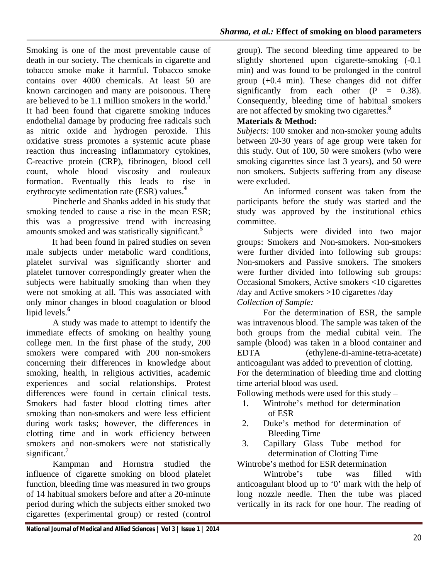Smoking is one of the most preventable cause of death in our society. The chemicals in cigarette and tobacco smoke make it harmful. Tobacco smoke contains over 4000 chemicals. At least 50 are known carcinogen and many are poisonous. There are believed to be 1.1 million smokers in the world.<sup>3</sup> It had been found that cigarette smoking induces endothelial damage by producing free radicals such as nitric oxide and hydrogen peroxide. This oxidative stress promotes a systemic acute phase reaction thus increasing inflammatory cytokines, C-reactive protein (CRP), fibrinogen, blood cell count, whole blood viscosity and rouleaux formation. Eventually this leads to rise in erythrocyte sedimentation rate (ESR) values.**<sup>4</sup>**

Pincherle and Shanks added in his study that smoking tended to cause a rise in the mean ESR; this was a progressive trend with increasing amounts smoked and was statistically significant.**<sup>5</sup>**

It had been found in paired studies on seven male subjects under metabolic ward conditions, platelet survival was significantly shorter and platelet turnover correspondingly greater when the subjects were habitually smoking than when they were not smoking at all. This was associated with only minor changes in blood coagulation or blood lipid levels.**<sup>6</sup>**

A study was made to attempt to identify the immediate effects of smoking on healthy young college men. In the first phase of the study, 200 smokers were compared with 200 non-smokers concerning their differences in knowledge about smoking, health, in religious activities, academic experiences and social relationships. Protest differences were found in certain clinical tests. Smokers had faster blood clotting times after smoking than non-smokers and were less efficient during work tasks; however, the differences in clotting time and in work efficiency between smokers and non-smokers were not statistically significant.<sup>7</sup>

Kampman and Hornstra studied the influence of cigarette smoking on blood platelet function, bleeding time was measured in two groups of 14 habitual smokers before and after a 20-minute period during which the subjects either smoked two cigarettes (experimental group) or rested (control

group). The second bleeding time appeared to be slightly shortened upon cigarette-smoking (-0.1 min) and was found to be prolonged in the control group (+0.4 min). These changes did not differ significantly from each other  $(P = 0.38)$ . Consequently, bleeding time of habitual smokers are not affected by smoking two cigarettes.**<sup>8</sup>**

#### **Materials & Method:**

*Subjects:* 100 smoker and non-smoker young adults between 20-30 years of age group were taken for this study. Out of 100, 50 were smokers (who were smoking cigarettes since last 3 years), and 50 were non smokers. Subjects suffering from any disease were excluded.

An informed consent was taken from the participants before the study was started and the study was approved by the institutional ethics committee.

Subjects were divided into two major groups: Smokers and Non-smokers. Non-smokers were further divided into following sub groups: Non-smokers and Passive smokers. The smokers were further divided into following sub groups: Occasional Smokers, Active smokers <10 cigarettes /day and Active smokers >10 cigarettes /day *Collection of Sample:*

For the determination of ESR, the sample was intravenous blood. The sample was taken of the both groups from the medial cubital vein. The sample (blood) was taken in a blood container and EDTA (ethylene-di-amine-tetra-acetate) anticoagulant was added to prevention of clotting. For the determination of bleeding time and clotting time arterial blood was used.

Following methods were used for this study –

- 1. Wintrobe's method for determination of ESR
- 2. Duke's method for determination of Bleeding Time
- 3. Capillary Glass Tube method for determination of Clotting Time

Wintrobe's method for ESR determination

Wintrobe's tube was filled with anticoagulant blood up to '0' mark with the help of long nozzle needle. Then the tube was placed vertically in its rack for one hour. The reading of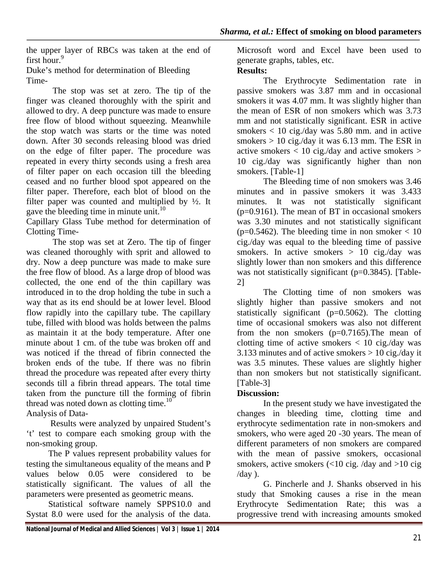the upper layer of RBCs was taken at the end of first hour.<sup>9</sup>

Duke's method for determination of Bleeding Time-

The stop was set at zero. The tip of the finger was cleaned thoroughly with the spirit and allowed to dry. A deep puncture was made to ensure free flow of blood without squeezing. Meanwhile the stop watch was starts or the time was noted down. After 30 seconds releasing blood was dried on the edge of filter paper. The procedure was repeated in every thirty seconds using a fresh area of filter paper on each occasion till the bleeding ceased and no further blood spot appeared on the filter paper. Therefore, each blot of blood on the filter paper was counted and multiplied by ½. It gave the bleeding time in minute unit.<sup>10</sup>

Capillary Glass Tube method for determination of Clotting Time-

The stop was set at Zero. The tip of finger was cleaned thoroughly with sprit and allowed to dry. Now a deep puncture was made to make sure the free flow of blood. As a large drop of blood was collected, the one end of the thin capillary was introduced in to the drop holding the tube in such a way that as its end should be at lower level. Blood flow rapidly into the capillary tube. The capillary tube, filled with blood was holds between the palms as maintain it at the body temperature. After one minute about 1 cm. of the tube was broken off and was noticed if the thread of fibrin connected the broken ends of the tube. If there was no fibrin thread the procedure was repeated after every thirty seconds till a fibrin thread appears. The total time taken from the puncture till the forming of fibrin thread was noted down as clotting time. $10<sup>o</sup>$ Analysis of Data-

Results were analyzed by unpaired Student's

't' test to compare each smoking group with the non-smoking group.

 The P values represent probability values for testing the simultaneous equality of the means and P values below 0.05 were considered to be statistically significant. The values of all the parameters were presented as geometric means.

 Statistical software namely SPPS10.0 and Systat 8.0 were used for the analysis of the data.

Microsoft word and Excel have been used to generate graphs, tables, etc.

### **Results:**

The Erythrocyte Sedimentation rate in passive smokers was 3.87 mm and in occasional smokers it was 4.07 mm. It was slightly higher than the mean of ESR of non smokers which was 3.73 mm and not statistically significant. ESR in active smokers  $< 10$  cig./day was 5.80 mm. and in active smokers  $> 10$  cig./day it was 6.13 mm. The ESR in active smokers  $< 10$  cig./day and active smokers  $>$ 10 cig./day was significantly higher than non smokers. [Table-1]

The Bleeding time of non smokers was 3.46 minutes and in passive smokers it was 3.433 minutes. It was not statistically significant (p=0.9161). The mean of BT in occasional smokers was 3.30 minutes and not statistically significant  $(p=0.5462)$ . The bleeding time in non smoker  $< 10$ cig./day was equal to the bleeding time of passive smokers. In active smokers  $> 10$  cig./day was slightly lower than non smokers and this difference was not statistically significant (p=0.3845). [Table-2]

The Clotting time of non smokers was slightly higher than passive smokers and not statistically significant  $(p=0.5062)$ . The clotting time of occasional smokers was also not different from the non smokers  $(p=0.7165)$ . The mean of clotting time of active smokers  $\langle 10 \text{ cig./day was} \rangle$ 3.133 minutes and of active smokers  $> 10$  cig./day it was 3.5 minutes. These values are slightly higher than non smokers but not statistically significant. [Table-3]

### **Discussion:**

In the present study we have investigated the changes in bleeding time, clotting time and erythrocyte sedimentation rate in non-smokers and smokers, who were aged 20 -30 years. The mean of different parameters of non smokers are compared with the mean of passive smokers, occasional smokers, active smokers  $\left($ <10 cig. /day and >10 cig.  $/day$ ).

G. Pincherle and J. Shanks observed in his study that Smoking causes a rise in the mean Erythrocyte Sedimentation Rate; this was a progressive trend with increasing amounts smoked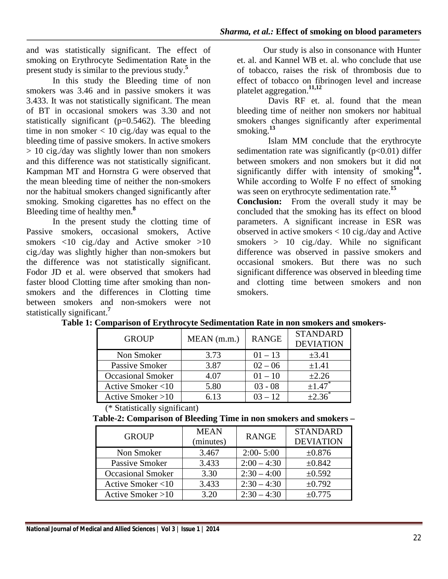and was statistically significant. The effect of smoking on Erythrocyte Sedimentation Rate in the present study is similar to the previous study.**<sup>5</sup>**

In this study the Bleeding time of non smokers was 3.46 and in passive smokers it was 3.433. It was not statistically significant. The mean of BT in occasional smokers was 3.30 and not statistically significant ( $p=0.5462$ ). The bleeding time in non smoker  $< 10$  cig./day was equal to the bleeding time of passive smokers. In active smokers > 10 cig./day was slightly lower than non smokers and this difference was not statistically significant. Kampman MT and Hornstra G were observed that the mean bleeding time of neither the non-smokers nor the habitual smokers changed significantly after smoking. Smoking cigarettes has no effect on the Bleeding time of healthy men.**<sup>8</sup>**

In the present study the clotting time of Passive smokers, occasional smokers, Active smokers  $\langle 10 \text{ cig./day} \text{ and}$  Active smoker  $>10$ cig./day was slightly higher than non-smokers but the difference was not statistically significant. Fodor JD et al. were observed that smokers had faster blood Clotting time after smoking than nonsmokers and the differences in Clotting time between smokers and non-smokers were not statistically significant.**<sup>7</sup>**

Our study is also in consonance with Hunter et. al. and Kannel WB et. al. who conclude that use of tobacco, raises the risk of thrombosis due to effect of tobacco on fibrinogen level and increase platelet aggregation.**11,12** 

Davis RF et. al. found that the mean bleeding time of neither non smokers nor habitual smokers changes significantly after experimental smoking.**<sup>13</sup>**

Islam MM conclude that the erythrocyte sedimentation rate was significantly  $(p<0.01)$  differ between smokers and non smokers but it did not significantly differ with intensity of smoking**14.** While according to Wolfe F no effect of smoking was seen on erythrocyte sedimentation rate.**<sup>15</sup>**

**Conclusion:** From the overall study it may be concluded that the smoking has its effect on blood parameters. A significant increase in ESR was observed in active smokers < 10 cig./day and Active smokers  $> 10$  cig./day. While no significant difference was observed in passive smokers and occasional smokers. But there was no such significant difference was observed in bleeding time and clotting time between smokers and non smokers.

| <b>GROUP</b>             | <b>RANGE</b><br>$MEAN$ (m.m.) |           | <b>STANDARD</b><br><b>DEVIATION</b> |
|--------------------------|-------------------------------|-----------|-------------------------------------|
| Non Smoker               | 3.73                          | $01 - 13$ | $\pm 3.41$                          |
| Passive Smoker           | 3.87                          | $02 - 06$ | $\pm 1.41$                          |
| <b>Occasional Smoker</b> | 4.07                          | $01 - 10$ | $\pm 2.26$                          |
| Active Smoker <10        | 5.80                          | $03 - 08$ | $\pm 1.47$                          |
| Active Smoker $>10$      | 6 13                          | $03 - 12$ |                                     |

|  |  |  |  |  |  | Table 1: Comparison of Erythrocyte Sedimentation Rate in non smokers and smokers- |
|--|--|--|--|--|--|-----------------------------------------------------------------------------------|
|  |  |  |  |  |  |                                                                                   |

(\* Statistically significant)

**Table-2: Comparison of Bleeding Time in non smokers and smokers –**

| <b>GROUP</b>             | <b>MEAN</b><br>(minutes) | <b>RANGE</b>  | <b>STANDARD</b><br><b>DEVIATION</b> |
|--------------------------|--------------------------|---------------|-------------------------------------|
| Non Smoker               | 3.467                    | $2:00 - 5:00$ | ±0.876                              |
| Passive Smoker           | 3.433                    | $2:00 - 4:30$ | ±0.842                              |
| <b>Occasional Smoker</b> | 3.30                     | $2:30 - 4:00$ | ±0.592                              |
| Active Smoker <10        | 3.433                    | $2:30 - 4:30$ | ±0.792                              |
| Active Smoker $>10$      | 3.20                     | $2:30 - 4:30$ | ±0.775                              |